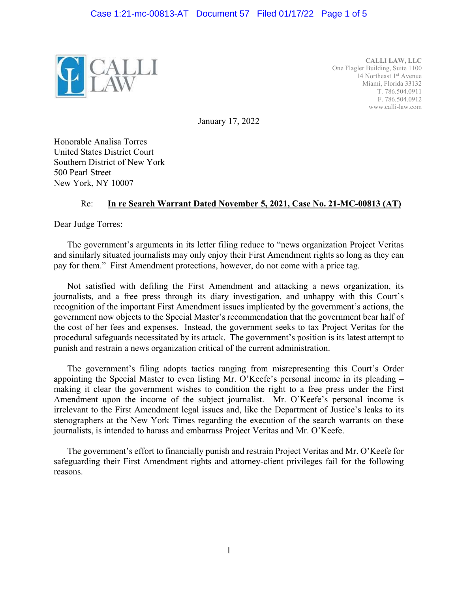

**CALLI LAW, LLC**  One Flagler Building, Suite 1100 14 Northeast 1<sup>st</sup> Avenue Miami, Florida 33132 T. 786.504.0911 F. 786.504.0912 www.calli-law.com

January 17, 2022

Honorable Analisa Torres United States District Court Southern District of New York 500 Pearl Street New York, NY 10007

## Re: **In re Search Warrant Dated November 5, 2021, Case No. 21-MC-00813 (AT)**

Dear Judge Torres:

The government's arguments in its letter filing reduce to "news organization Project Veritas and similarly situated journalists may only enjoy their First Amendment rights so long as they can pay for them." First Amendment protections, however, do not come with a price tag.

Not satisfied with defiling the First Amendment and attacking a news organization, its journalists, and a free press through its diary investigation, and unhappy with this Court's recognition of the important First Amendment issues implicated by the government's actions, the government now objects to the Special Master's recommendation that the government bear half of the cost of her fees and expenses. Instead, the government seeks to tax Project Veritas for the procedural safeguards necessitated by its attack. The government's position is its latest attempt to punish and restrain a news organization critical of the current administration.

The government's filing adopts tactics ranging from misrepresenting this Court's Order appointing the Special Master to even listing Mr. O'Keefe's personal income in its pleading – making it clear the government wishes to condition the right to a free press under the First Amendment upon the income of the subject journalist. Mr. O'Keefe's personal income is irrelevant to the First Amendment legal issues and, like the Department of Justice's leaks to its stenographers at the New York Times regarding the execution of the search warrants on these journalists, is intended to harass and embarrass Project Veritas and Mr. O'Keefe.

The government's effort to financially punish and restrain Project Veritas and Mr. O'Keefe for safeguarding their First Amendment rights and attorney-client privileges fail for the following reasons.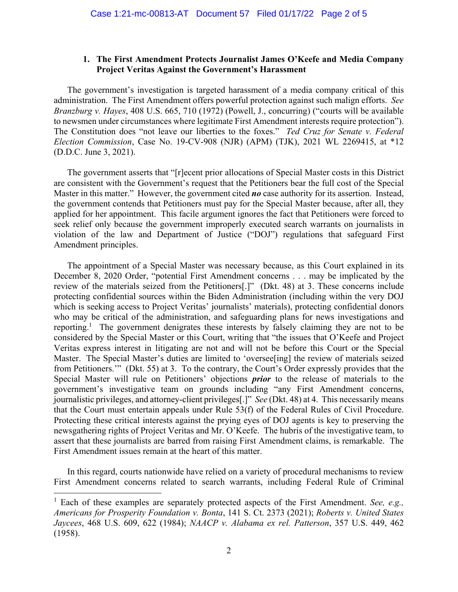## **1. The First Amendment Protects Journalist James O'Keefe and Media Company Project Veritas Against the Government's Harassment**

The government's investigation is targeted harassment of a media company critical of this administration. The First Amendment offers powerful protection against such malign efforts. *See Branzburg v. Hayes*, 408 U.S. 665, 710 (1972) (Powell, J., concurring) ("courts will be available to newsmen under circumstances where legitimate First Amendment interests require protection"). The Constitution does "not leave our liberties to the foxes." *Ted Cruz for Senate v. Federal Election Commission*, Case No. 19-CV-908 (NJR) (APM) (TJK), 2021 WL 2269415, at \*12 (D.D.C. June 3, 2021).

The government asserts that "[r]ecent prior allocations of Special Master costs in this District are consistent with the Government's request that the Petitioners bear the full cost of the Special Master in this matter." However, the government cited *no* case authority for its assertion. Instead, the government contends that Petitioners must pay for the Special Master because, after all, they applied for her appointment. This facile argument ignores the fact that Petitioners were forced to seek relief only because the government improperly executed search warrants on journalists in violation of the law and Department of Justice ("DOJ") regulations that safeguard First Amendment principles.

The appointment of a Special Master was necessary because, as this Court explained in its December 8, 2020 Order, "potential First Amendment concerns . . . may be implicated by the review of the materials seized from the Petitioners[.]" (Dkt. 48) at 3. These concerns include protecting confidential sources within the Biden Administration (including within the very DOJ which is seeking access to Project Veritas' journalists' materials), protecting confidential donors who may be critical of the administration, and safeguarding plans for news investigations and reporting.<sup>1</sup> The government denigrates these interests by falsely claiming they are not to be considered by the Special Master or this Court, writing that "the issues that O'Keefe and Project Veritas express interest in litigating are not and will not be before this Court or the Special Master. The Special Master's duties are limited to 'oversee [ing] the review of materials seized from Petitioners.'" (Dkt. 55) at 3. To the contrary, the Court's Order expressly provides that the Special Master will rule on Petitioners' objections *prior* to the release of materials to the government's investigative team on grounds including "any First Amendment concerns, journalistic privileges, and attorney-client privileges[.]" *See* (Dkt. 48) at 4. This necessarily means that the Court must entertain appeals under Rule 53(f) of the Federal Rules of Civil Procedure. Protecting these critical interests against the prying eyes of DOJ agents is key to preserving the newsgathering rights of Project Veritas and Mr. O'Keefe. The hubris of the investigative team, to assert that these journalists are barred from raising First Amendment claims, is remarkable. The First Amendment issues remain at the heart of this matter.

In this regard, courts nationwide have relied on a variety of procedural mechanisms to review First Amendment concerns related to search warrants, including Federal Rule of Criminal

l

<sup>&</sup>lt;sup>1</sup> Each of these examples are separately protected aspects of the First Amendment. *See, e.g., Americans for Prosperity Foundation v. Bonta*, 141 S. Ct. 2373 (2021); *Roberts v. United States Jaycees*, 468 U.S. 609, 622 (1984); *NAACP v. Alabama ex rel. Patterson*, 357 U.S. 449, 462 (1958).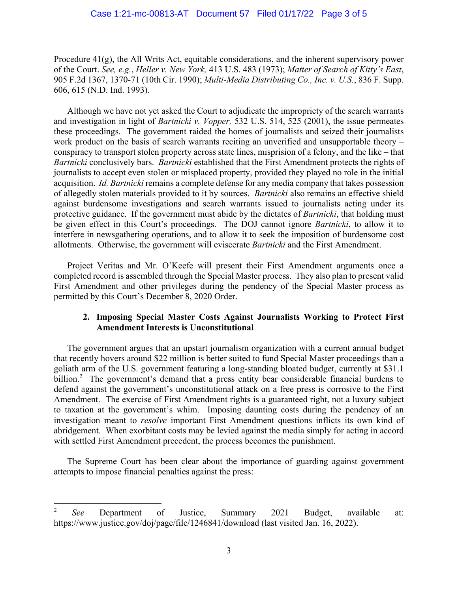Procedure  $41(g)$ , the All Writs Act, equitable considerations, and the inherent supervisory power of the Court. *See, e.g.*, *Heller v. New York,* 413 U.S. 483 (1973); *Matter of Search of Kitty's East*, 905 F.2d 1367, 1370-71 (10th Cir. 1990); *Multi-Media Distributing Co., Inc. v. U.S.*, 836 F. Supp. 606, 615 (N.D. Ind. 1993).

Although we have not yet asked the Court to adjudicate the impropriety of the search warrants and investigation in light of *Bartnicki v. Vopper,* 532 U.S. 514, 525 (2001), the issue permeates these proceedings. The government raided the homes of journalists and seized their journalists work product on the basis of search warrants reciting an unverified and unsupportable theory – conspiracy to transport stolen property across state lines, misprision of a felony, and the like – that *Bartnicki* conclusively bars. *Bartnicki* established that the First Amendment protects the rights of journalists to accept even stolen or misplaced property, provided they played no role in the initial acquisition. *Id. Bartnicki* remains a complete defense for any media company that takes possession of allegedly stolen materials provided to it by sources. *Bartnicki* also remains an effective shield against burdensome investigations and search warrants issued to journalists acting under its protective guidance. If the government must abide by the dictates of *Bartnicki*, that holding must be given effect in this Court's proceedings. The DOJ cannot ignore *Bartnicki*, to allow it to interfere in newsgathering operations, and to allow it to seek the imposition of burdensome cost allotments. Otherwise, the government will eviscerate *Bartnicki* and the First Amendment.

Project Veritas and Mr. O'Keefe will present their First Amendment arguments once a completed record is assembled through the Special Master process. They also plan to present valid First Amendment and other privileges during the pendency of the Special Master process as permitted by this Court's December 8, 2020 Order.

## **2. Imposing Special Master Costs Against Journalists Working to Protect First Amendment Interests is Unconstitutional**

The government argues that an upstart journalism organization with a current annual budget that recently hovers around \$22 million is better suited to fund Special Master proceedings than a goliath arm of the U.S. government featuring a long-standing bloated budget, currently at \$31.1 billion.<sup>2</sup> The government's demand that a press entity bear considerable financial burdens to defend against the government's unconstitutional attack on a free press is corrosive to the First Amendment. The exercise of First Amendment rights is a guaranteed right, not a luxury subject to taxation at the government's whim. Imposing daunting costs during the pendency of an investigation meant to *resolve* important First Amendment questions inflicts its own kind of abridgement. When exorbitant costs may be levied against the media simply for acting in accord with settled First Amendment precedent, the process becomes the punishment.

The Supreme Court has been clear about the importance of guarding against government attempts to impose financial penalties against the press:

l

<sup>2</sup> *See* Department of Justice, Summary 2021 Budget, available at: https://www.justice.gov/doj/page/file/1246841/download (last visited Jan. 16, 2022).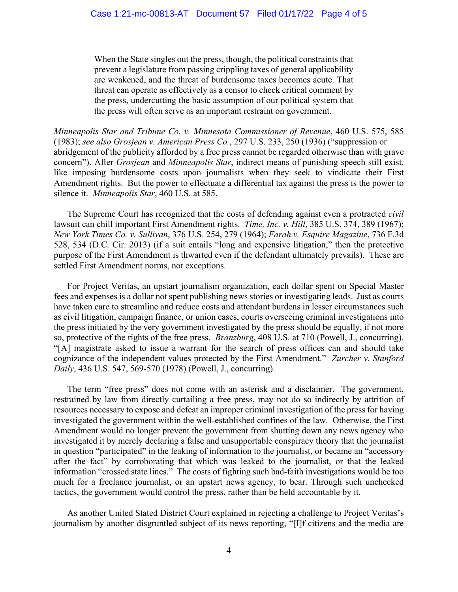When the State singles out the press, though, the political constraints that prevent a legislature from passing crippling taxes of general applicability are weakened, and the threat of burdensome taxes becomes acute. That threat can operate as effectively as a censor to check critical comment by the press, undercutting the basic assumption of our political system that the press will often serve as an important restraint on government.

*Minneapolis Star and Tribune Co. v. Minnesota Commissioner of Revenue*, 460 U.S. 575, 585 (1983); *see also Grosjean v. American Press Co.*, 297 U.S. 233, 250 (1936) ("suppression or abridgement of the publicity afforded by a free press cannot be regarded otherwise than with grave concern"). After *Grosjean* and *Minneapolis Star*, indirect means of punishing speech still exist, like imposing burdensome costs upon journalists when they seek to vindicate their First Amendment rights. But the power to effectuate a differential tax against the press is the power to silence it. *Minneapolis Star*, 460 U.S. at 585.

The Supreme Court has recognized that the costs of defending against even a protracted *civil*  lawsuit can chill important First Amendment rights. *Time, Inc. v. Hill*, 385 U.S. 374, 389 (1967); *New York Times Co. v. Sullivan*, 376 U.S. 254, 279 (1964); *Farah v. Esquire Magazine*, 736 F.3d 528, 534 (D.C. Cir. 2013) (if a suit entails "long and expensive litigation," then the protective purpose of the First Amendment is thwarted even if the defendant ultimately prevails). These are settled First Amendment norms, not exceptions.

For Project Veritas, an upstart journalism organization, each dollar spent on Special Master fees and expenses is a dollar not spent publishing news stories or investigating leads. Just as courts have taken care to streamline and reduce costs and attendant burdens in lesser circumstances such as civil litigation, campaign finance, or union cases, courts overseeing criminal investigations into the press initiated by the very government investigated by the press should be equally, if not more so, protective of the rights of the free press. *Branzburg*, 408 U.S. at 710 (Powell, J., concurring). "[A] magistrate asked to issue a warrant for the search of press offices can and should take cognizance of the independent values protected by the First Amendment." *Zurcher v. Stanford Daily*, 436 U.S. 547, 569-570 (1978) (Powell, J., concurring).

The term "free press" does not come with an asterisk and a disclaimer. The government, restrained by law from directly curtailing a free press, may not do so indirectly by attrition of resources necessary to expose and defeat an improper criminal investigation of the press for having investigated the government within the well-established confines of the law. Otherwise, the First Amendment would no longer prevent the government from shutting down any news agency who investigated it by merely declaring a false and unsupportable conspiracy theory that the journalist in question "participated" in the leaking of information to the journalist, or became an "accessory after the fact" by corroborating that which was leaked to the journalist, or that the leaked information "crossed state lines." The costs of fighting such bad-faith investigations would be too much for a freelance journalist, or an upstart news agency, to bear. Through such unchecked tactics, the government would control the press, rather than be held accountable by it.

As another United Stated District Court explained in rejecting a challenge to Project Veritas's journalism by another disgruntled subject of its news reporting, "[I]f citizens and the media are